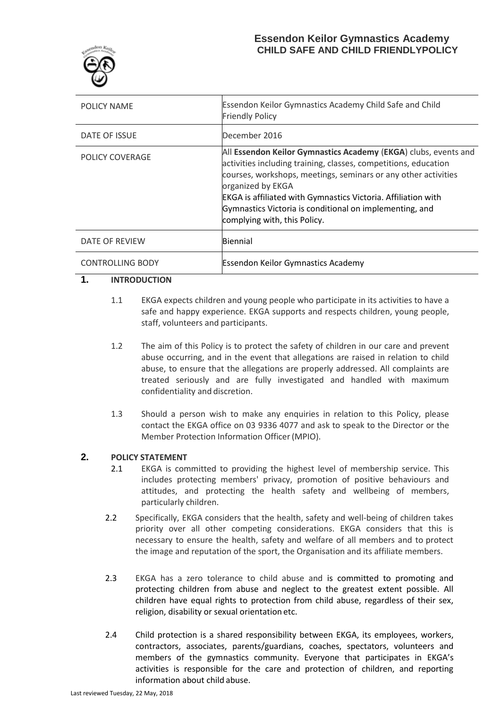

| POLICY NAME             | Essendon Keilor Gymnastics Academy Child Safe and Child<br><b>Friendly Policy</b>                                                                                                                                                                                                                                                                                                            |
|-------------------------|----------------------------------------------------------------------------------------------------------------------------------------------------------------------------------------------------------------------------------------------------------------------------------------------------------------------------------------------------------------------------------------------|
| DATE OF ISSUE           | December 2016                                                                                                                                                                                                                                                                                                                                                                                |
| POLICY COVERAGE         | All Essendon Keilor Gymnastics Academy (EKGA) clubs, events and<br>activities including training, classes, competitions, education<br>courses, workshops, meetings, seminars or any other activities<br>organized by EKGA<br><b>EKGA</b> is affiliated with Gymnastics Victoria. Affiliation with<br>Gymnastics Victoria is conditional on implementing, and<br>complying with, this Policy. |
| DATE OF REVIEW          | Biennial                                                                                                                                                                                                                                                                                                                                                                                     |
| <b>CONTROLLING BODY</b> | <b>Essendon Keilor Gymnastics Academy</b>                                                                                                                                                                                                                                                                                                                                                    |

### **1. INTRODUCTION**

- 1.1 EKGA expects children and young people who participate in its activities to have a safe and happy experience. EKGA supports and respects children, young people, staff, volunteers and participants.
- 1.2 The aim of this Policy is to protect the safety of children in our care and prevent abuse occurring, and in the event that allegations are raised in relation to child abuse, to ensure that the allegations are properly addressed. All complaints are treated seriously and are fully investigated and handled with maximum confidentiality and discretion.
- 1.3 Should a person wish to make any enquiries in relation to this Policy, please contact the EKGA office on 03 9336 4077 and ask to speak to the Director or the Member Protection Information Officer(MPIO).

# **2. POLICY STATEMENT**

- 2.1 EKGA is committed to providing the highest level of membership service. This includes protecting members' privacy, promotion of positive behaviours and attitudes, and protecting the health safety and wellbeing of members, particularly children.
- 2.2 Specifically, EKGA considers that the health, safety and well-being of children takes priority over all other competing considerations. EKGA considers that this is necessary to ensure the health, safety and welfare of all members and to protect the image and reputation of the sport, the Organisation and its affiliate members.
- 2.3 EKGA has a zero tolerance to child abuse and is committed to promoting and protecting children from abuse and neglect to the greatest extent possible. All children have equal rights to protection from child abuse, regardless of their sex, religion, disability or sexual orientation etc.
- 2.4 Child protection is a shared responsibility between EKGA, its employees, workers, contractors, associates, parents/guardians, coaches, spectators, volunteers and members of the gymnastics community. Everyone that participates in EKGA's activities is responsible for the care and protection of children, and reporting information about child abuse.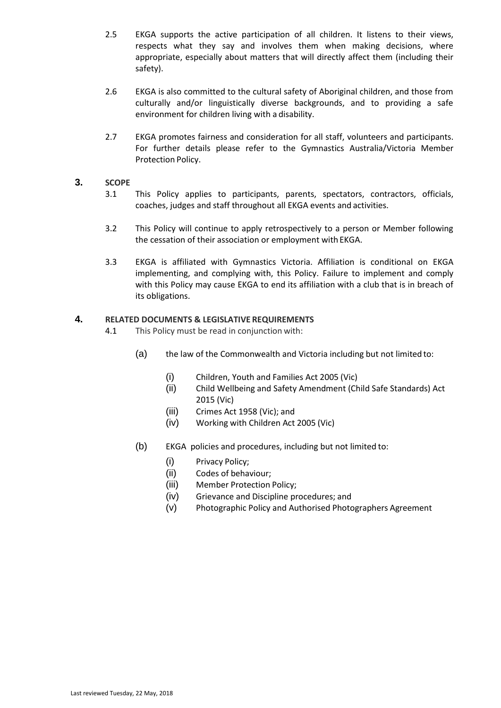- 2.5 EKGA supports the active participation of all children. It listens to their views, respects what they say and involves them when making decisions, where appropriate, especially about matters that will directly affect them (including their safety).
- 2.6 EKGA is also committed to the cultural safety of Aboriginal children, and those from culturally and/or linguistically diverse backgrounds, and to providing a safe environment for children living with a disability.
- 2.7 EKGA promotes fairness and consideration for all staff, volunteers and participants. For further details please refer to the Gymnastics Australia/Victoria Member Protection Policy.

### **3. SCOPE**

- 3.1 This Policy applies to participants, parents, spectators, contractors, officials, coaches, judges and staff throughout all EKGA events and activities.
- 3.2 This Policy will continue to apply retrospectively to a person or Member following the cessation of their association or employment with EKGA.
- 3.3 EKGA is affiliated with Gymnastics Victoria. Affiliation is conditional on EKGA implementing, and complying with, this Policy. Failure to implement and comply with this Policy may cause EKGA to end its affiliation with a club that is in breach of its obligations.

### **4. RELATED DOCUMENTS & LEGISLATIVE REQUIREMENTS**

- 4.1 This Policy must be read in conjunction with:
	- (a) the law of the Commonwealth and Victoria including but not limited to:
		- (i) Children, Youth and Families Act 2005 (Vic)
		- (ii) Child Wellbeing and Safety Amendment (Child Safe Standards) Act 2015 (Vic)
		- (iii) Crimes Act 1958 (Vic); and
		- (iv) Working with Children Act 2005 (Vic)
	- (b) EKGA policies and procedures, including but not limited to:
		- (i) Privacy Policy;
		- (ii) Codes of behaviour;
		- (iii) Member Protection Policy;
		- (iv) Grievance and Discipline procedures; and
		- (v) Photographic Policy and Authorised Photographers Agreement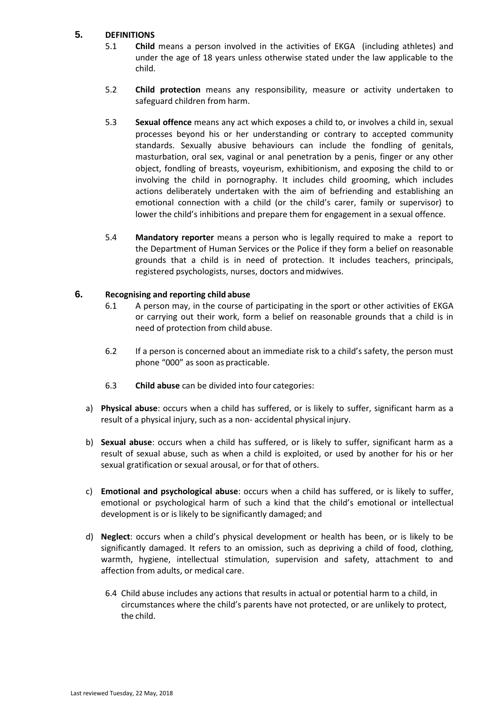## **5. DEFINITIONS**

- 5.1 **Child** means a person involved in the activities of EKGA (including athletes) and under the age of 18 years unless otherwise stated under the law applicable to the child.
- 5.2 **Child protection** means any responsibility, measure or activity undertaken to safeguard children from harm.
- 5.3 **Sexual offence** means any act which exposes a child to, or involves a child in, sexual processes beyond his or her understanding or contrary to accepted community standards. Sexually abusive behaviours can include the fondling of genitals, masturbation, oral sex, vaginal or anal penetration by a penis, finger or any other object, fondling of breasts, voyeurism, exhibitionism, and exposing the child to or involving the child in pornography. It includes child grooming, which includes actions deliberately undertaken with the aim of befriending and establishing an emotional connection with a child (or the child's carer, family or supervisor) to lower the child's inhibitions and prepare them for engagement in a sexual offence.
- 5.4 **Mandatory reporter** means a person who is legally required to make a report to the Department of Human Services or the Police if they form a belief on reasonable grounds that a child is in need of protection. It includes teachers, principals, registered psychologists, nurses, doctors and midwives.

### **6. Recognising and reporting child abuse**

- 6.1 A person may, in the course of participating in the sport or other activities of EKGA or carrying out their work, form a belief on reasonable grounds that a child is in need of protection from child abuse.
- 6.2 If a person is concerned about an immediate risk to a child's safety, the person must phone "000" as soon as practicable.
- 6.3 **Child abuse** can be divided into four categories:
- a) **Physical abuse**: occurs when a child has suffered, or is likely to suffer, significant harm as a result of a physical injury, such as a non- accidental physical injury.
- b) **Sexual abuse**: occurs when a child has suffered, or is likely to suffer, significant harm as a result of sexual abuse, such as when a child is exploited, or used by another for his or her sexual gratification or sexual arousal, or for that of others.
- c) **Emotional and psychological abuse**: occurs when a child has suffered, or is likely to suffer, emotional or psychological harm of such a kind that the child's emotional or intellectual development is or is likely to be significantly damaged; and
- d) **Neglect**: occurs when a child's physical development or health has been, or is likely to be significantly damaged. It refers to an omission, such as depriving a child of food, clothing, warmth, hygiene, intellectual stimulation, supervision and safety, attachment to and affection from adults, or medical care.
	- 6.4 Child abuse includes any actions that results in actual or potential harm to a child, in circumstances where the child's parents have not protected, or are unlikely to protect, the child.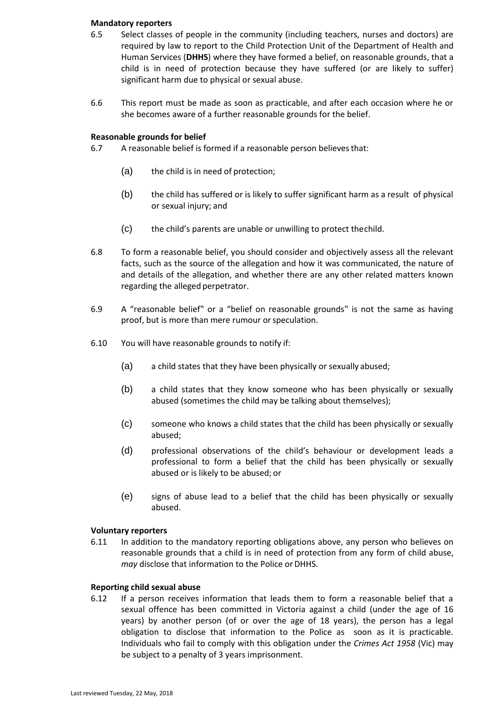#### **Mandatory reporters**

- 6.5 Select classes of people in the community (including teachers, nurses and doctors) are required by law to report to the Child Protection Unit of the Department of Health and Human Services (**DHHS**) where they have formed a belief, on reasonable grounds, that a child is in need of protection because they have suffered (or are likely to suffer) significant harm due to physical or sexual abuse.
- 6.6 This report must be made as soon as practicable, and after each occasion where he or she becomes aware of a further reasonable grounds for the belief.

#### **Reasonable grounds for belief**

- 6.7 A reasonable belief is formed if a reasonable person believesthat:
	- (a) the child is in need of protection;
	- (b) the child has suffered or is likely to suffer significant harm as a result of physical or sexual injury; and
	- (c) the child's parents are unable or unwilling to protect thechild.
- 6.8 To form a reasonable belief, you should consider and objectively assess all the relevant facts, such as the source of the allegation and how it was communicated, the nature of and details of the allegation, and whether there are any other related matters known regarding the alleged perpetrator.
- 6.9 A "reasonable belief" or a "belief on reasonable grounds" is not the same as having proof, but is more than mere rumour orspeculation.
- 6.10 You will have reasonable grounds to notify if:
	- (a) a child states that they have been physically or sexually abused;
	- (b) a child states that they know someone who has been physically or sexually abused (sometimes the child may be talking about themselves);
	- (c) someone who knows a child states that the child has been physically or sexually abused;
	- (d) professional observations of the child's behaviour or development leads a professional to form a belief that the child has been physically or sexually abused or is likely to be abused; or
	- (e) signs of abuse lead to a belief that the child has been physically or sexually abused.

#### **Voluntary reporters**

6.11 In addition to the mandatory reporting obligations above, any person who believes on reasonable grounds that a [child](http://www.austlii.edu.au/au/legis/vic/consol_act/cyafa2005252/s3.html#child) is in need of protection from any form of child abuse, *may* disclose that information to the Police or DHHS.

#### **Reporting child sexual abuse**

6.12 If a person receives information that leads them to form a reasonable belief that a sexual offence has been committed in Victoria against a child (under the age of 16 years) by another person (of or over the age of 18 years), the person has a legal obligation to disclose that information to the Police as soon as it is practicable. Individuals who fail to comply with this obligation under the *Crimes Act 1958* (Vic) may be subject to a penalty of 3 years imprisonment.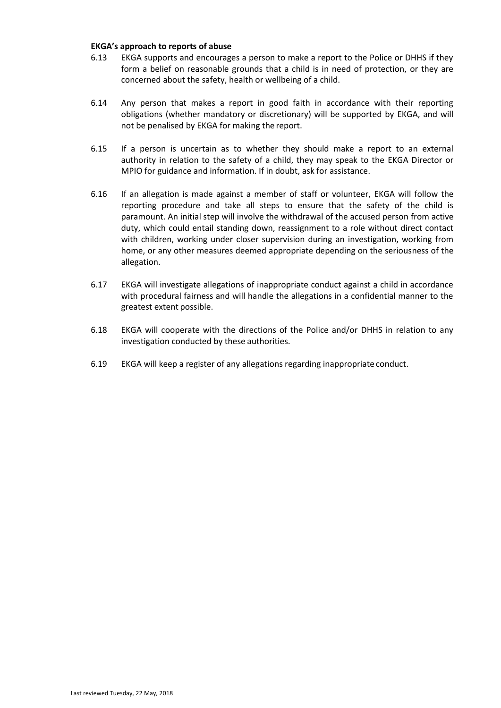#### **EKGA's approach to reports of abuse**

- 6.13 EKGA supports and encourages a person to make a report to the Police or DHHS if they form a belief on reasonable grounds that a child is in need of protection, or they are concerned about the safety, health or wellbeing of a child.
- 6.14 Any person that makes a report in good faith in accordance with their reporting obligations (whether mandatory or discretionary) will be supported by EKGA, and will not be penalised by EKGA for making the report.
- 6.15 If a person is uncertain as to whether they should make a report to an external authority in relation to the safety of a child, they may speak to the EKGA Director or MPIO for guidance and information. If in doubt, ask for assistance.
- 6.16 If an allegation is made against a member of staff or volunteer, EKGA will follow the reporting procedure and take all steps to ensure that the safety of the child is paramount. An initial step will involve the withdrawal of the accused person from active duty, which could entail standing down, reassignment to a role without direct contact with children, working under closer supervision during an investigation, working from home, or any other measures deemed appropriate depending on the seriousness of the allegation.
- 6.17 EKGA will investigate allegations of inappropriate conduct against a child in accordance with procedural fairness and will handle the allegations in a confidential manner to the greatest extent possible.
- 6.18 EKGA will cooperate with the directions of the Police and/or DHHS in relation to any investigation conducted by these authorities.
- 6.19 EKGA will keep a register of any allegations regarding inappropriate conduct.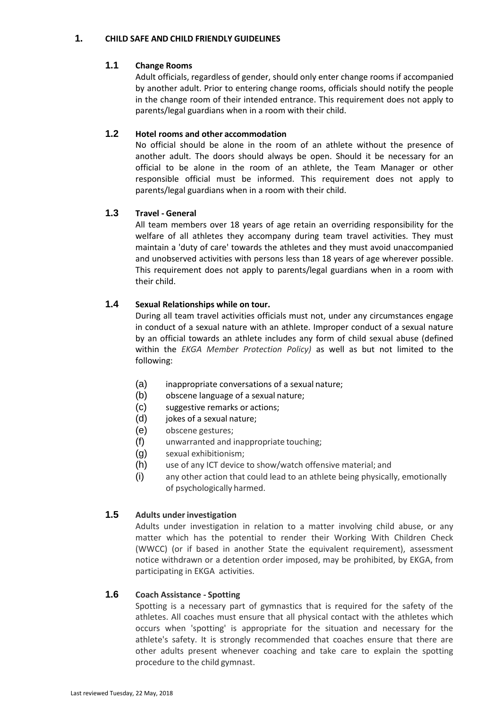#### **1. CHILD SAFE AND CHILD FRIENDLY GUIDELINES**

# **1.1 Change Rooms**

Adult officials, regardless of gender, should only enter change rooms if accompanied by another adult. Prior to entering change rooms, officials should notify the people in the change room of their intended entrance. This requirement does not apply to parents/legal guardians when in a room with their child.

# **1.2 Hotel rooms and other accommodation**

No official should be alone in the room of an athlete without the presence of another adult. The doors should always be open. Should it be necessary for an official to be alone in the room of an athlete, the Team Manager or other responsible official must be informed. This requirement does not apply to parents/legal guardians when in a room with their child.

# **1.3 Travel - General**

All team members over 18 years of age retain an overriding responsibility for the welfare of all athletes they accompany during team travel activities. They must maintain a 'duty of care' towards the athletes and they must avoid unaccompanied and unobserved activities with persons less than 18 years of age wherever possible. This requirement does not apply to parents/legal guardians when in a room with their child.

# **1.4 Sexual Relationships while on tour.**

During all team travel activities officials must not, under any circumstances engage in conduct of a sexual nature with an athlete. Improper conduct of a sexual nature by an official towards an athlete includes any form of child sexual abuse (defined within the *EKGA Member Protection Policy)* as well as but not limited to the following:

- (a) inappropriate conversations of a sexual nature;
- (b) obscene language of a sexual nature;
- (c) suggestive remarks or actions;
- (d) jokes of a sexual nature;
- (e) obscene gestures;
- (f) unwarranted and inappropriate touching;
- (g) sexual exhibitionism;
- (h) use of any ICT device to show/watch offensive material; and
- (i) any other action that could lead to an athlete being physically, emotionally of psychologically harmed.

# **1.5 Adults underinvestigation**

Adults under investigation in relation to a matter involving child abuse, or any matter which has the potential to render their Working With Children Check (WWCC) (or if based in another State the equivalent requirement), assessment notice withdrawn or a detention order imposed, may be prohibited, by EKGA, from participating in EKGA activities.

# **1.6 Coach Assistance - Spotting**

Spotting is a necessary part of gymnastics that is required for the safety of the athletes. All coaches must ensure that all physical contact with the athletes which occurs when 'spotting' is appropriate for the situation and necessary for the athlete's safety. It is strongly recommended that coaches ensure that there are other adults present whenever coaching and take care to explain the spotting procedure to the child gymnast.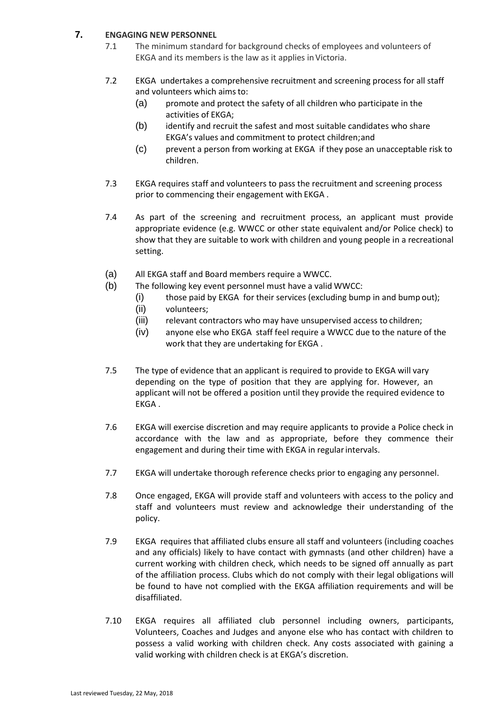# **7. ENGAGING NEW PERSONNEL**

- 7.1 The minimum standard for background checks of employees and volunteers of EKGA and its members is the law as it applies in Victoria.
- 7.2 EKGA undertakes a comprehensive recruitment and screening process for all staff and volunteers which aimsto:
	- (a) promote and protect the safety of all children who participate in the activities of EKGA;
	- (b) identify and recruit the safest and most suitable candidates who share EKGA's values and commitment to protect children;and
	- (c) prevent a person from working at EKGA if they pose an unacceptable risk to children.
- 7.3 EKGA requires staff and volunteers to pass the recruitment and screening process prior to commencing their engagement with EKGA .
- 7.4 As part of the screening and recruitment process, an applicant must provide appropriate evidence (e.g. WWCC or other state equivalent and/or Police check) to show that they are suitable to work with children and young people in a recreational setting.
- (a) All EKGA staff and Board members require a WWCC.
- (b) The following key event personnel must have a valid WWCC:
	- (i) those paid by EKGA for their services (excluding bump in and bump out);
	- (ii) volunteers;
	- (iii) relevant contractors who may have unsupervised access to children;
	- (iv) anyone else who EKGA staff feel require a WWCC due to the nature of the work that they are undertaking for EKGA .
- 7.5 The type of evidence that an applicant is required to provide to EKGA will vary depending on the type of position that they are applying for. However, an applicant will not be offered a position until they provide the required evidence to EKGA .
- 7.6 EKGA will exercise discretion and may require applicants to provide a Police check in accordance with the law and as appropriate, before they commence their engagement and during their time with EKGA in regularintervals.
- 7.7 EKGA will undertake thorough reference checks prior to engaging any personnel.
- 7.8 Once engaged, EKGA will provide staff and volunteers with access to the policy and staff and volunteers must review and acknowledge their understanding of the policy.
- 7.9 EKGA requires that affiliated clubs ensure all staff and volunteers (including coaches and any officials) likely to have contact with gymnasts (and other children) have a current working with children check, which needs to be signed off annually as part of the affiliation process. Clubs which do not comply with their legal obligations will be found to have not complied with the EKGA affiliation requirements and will be disaffiliated.
- 7.10 EKGA requires all affiliated club personnel including owners, participants, Volunteers, Coaches and Judges and anyone else who has contact with children to possess a valid working with children check. Any costs associated with gaining a valid working with children check is at EKGA's discretion.